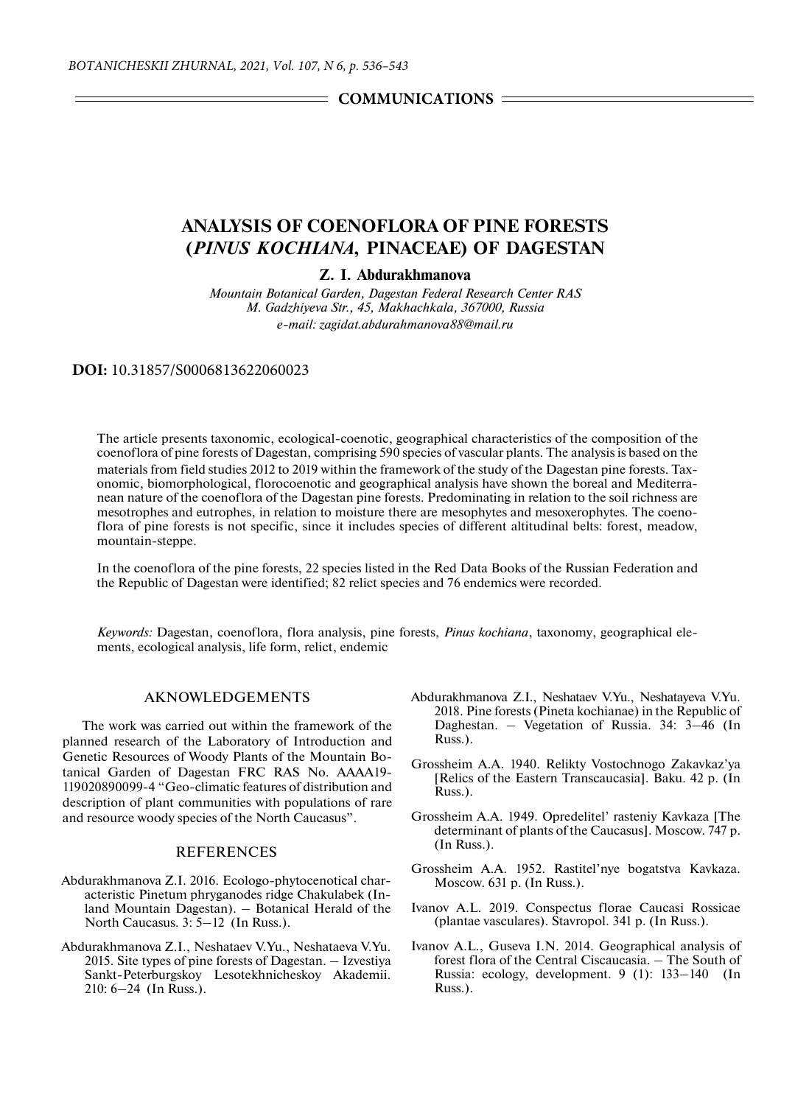**COMMUNICATIONS** 

## **ANALYSIS OF COENOFLORA OF PINE FORESTS (***PINUS KOCHIANA***, PINACEAE) OF DAGESTAN**

**Z. I. Abdurakhmanova**

*Mountain Botanical Garden, Dagestan Federal Research Center RAS M. Gadzhiyeva Str., 45, Makhachkala, 367000, Russia e-mail: zagidat.abdurahmanova88@mail.ru*

**DOI:** 10.31857/S0006813622060023

The article presents taxonomic, ecological-coenotic, geographical characteristics of the composition of the coenoflora of pine forests of Dagestan, comprising 590 species of vascular plants. The analysis is based on the materials from field studies 2012 to 2019 within the framework of the study of the Dagestan pine forests. Taxonomic, biomorphological, florocoenotic and geographical analysis have shown the boreal and Mediterranean nature of the coenoflora of the Dagestan pine forests. Predominating in relation to the soil richness are mesotrophes and eutrophes, in relation to moisture there are mesophytes and mesoxerophytes. The coenoflora of pine forests is not specific, since it includes species of different altitudinal belts: forest, meadow, mountain-steppe.

In the coenoflora of the pine forests, 22 species listed in the Red Data Books of the Russian Federation and the Republic of Dagestan were identified; 82 relict species and 76 endemics were recorded.

*Keywords:* Dagestan, coenoflora, flora analysis, pine forests, *Pinus kochiana*, taxonomy, geographical elements, ecological analysis, life form, relict, endemic

## AKNOWLEDGEMENTS

The work was carried out within the framework of the planned research of the Laboratory of Introduction and Genetic Resources of Woody Plants of the Mountain Botanical Garden of Dagestan FRC RAS No. AAAA19- 119020890099-4 "Geo-climatic features of distribution and description of plant communities with populations of rare and resource woody species of the North Caucasus".

## **REFERENCES**

- Abdurakhmanova Z.I. 2016. Ecologo-phytocenotical characteristic Pinetum phryganodes ridge Chakulabek (Inland Mountain Dagestan). – Botanical Herald of the North Caucasus. 3: 5–12 (In Russ.).
- Abdurakhmanova Z.I., Neshataev V.Yu., Neshataeva V.Yu. 2015. Site types of pine forests of Dagestan. – Izvestiya Sankt-Peterburgskoy Lesotekhnicheskoy Akademii. 210: 6–24 (In Russ.).
- Abdurakhmanova Z.I., Neshataev V.Yu., Neshatayeva V.Yu. 2018. Pine forests (Pineta kochianae) in the Republic of Daghestan. – Vegetation of Russia. 34: 3–46 (In Russ.).
- Grossheim A.A. 1940. Relikty Vostochnogo Zakavkaz'ya [Relics of the Eastern Transcaucasia]. Baku. 42 p. (In Russ.).
- Grossheim A.A. 1949. Opredelitel' rasteniy Kavkaza [The determinant of plants of the Caucasus]. Moscow. 747 p. (In Russ.).
- Grossheim A.A. 1952. Rastitel'nye bogatstva Kavkaza. Moscow. 631 p. (In Russ.).
- Ivanov A.L. 2019. Conspectus florae Caucasi Rossicae (plantae vasculares). Stavropol. 341 p. (In Russ.).
- Ivanov A.L., Guseva I.N. 2014. Geographical analysis of forest flora of the Central Ciscaucasia. – The South of Russia: ecology, development. 9 (1): 133–140 (In Russ.).